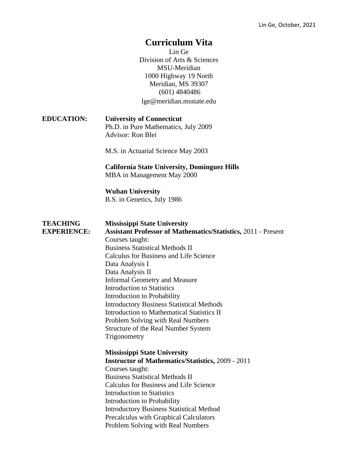## **Curriculum Vita**

Lin Ge Division of Arts & Sciences MSU-Meridian 1000 Highway 19 North Meridian, MS 39307 (601) 4840486 lge@meridian.msstate.edu

**EDUCATION: University of Connecticut** Ph.D. in Pure Mathematics, July 2009 Advisor: Ron Blei

M.S. in Actuarial Science May 2003

**California State University, Dominguez Hills** MBA in Management May 2000

**Wuhan University** B.S. in Genetics, July 1986

| <b>TEACHING</b><br><b>EXPERIENCE:</b> | <b>Mississippi State University</b><br><b>Assistant Professor of Mathematics/Statistics, 2011 - Present</b><br>Courses taught:<br><b>Business Statistical Methods II</b><br>Calculus for Business and Life Science<br>Data Analysis I<br>Data Analysis II<br>Informal Geometry and Measure<br>Introduction to Statistics<br>Introduction to Probability<br><b>Introductory Business Statistical Methods</b><br>Introduction to Mathematical Statistics II<br>Problem Solving with Real Numbers<br>Structure of the Real Number System<br>Trigonometry |
|---------------------------------------|-------------------------------------------------------------------------------------------------------------------------------------------------------------------------------------------------------------------------------------------------------------------------------------------------------------------------------------------------------------------------------------------------------------------------------------------------------------------------------------------------------------------------------------------------------|
|                                       | <b>Mississippi State University</b><br><b>Instructor of Mathematics/Statistics, 2009 - 2011</b><br>Courses taught:<br><b>Business Statistical Methods II</b><br>Calculus for Business and Life Science<br><b>Introduction to Statistics</b><br>Introduction to Probability<br><b>Introductory Business Statistical Method</b><br>Precalculus with Graphical Calculators<br>Problem Solving with Real Numbers                                                                                                                                          |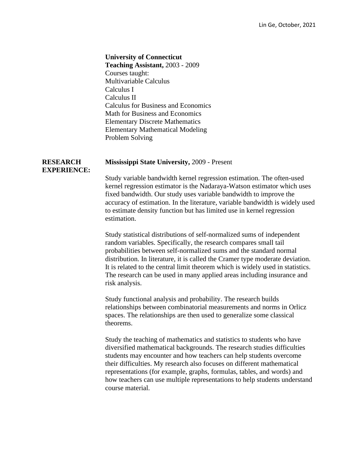## **University of Connecticut**

**Teaching Assistant,** 2003 - 2009 Courses taught: Multivariable Calculus Calculus I Calculus II Calculus for Business and Economics Math for Business and Economics Elementary Discrete Mathematics Elementary Mathematical Modeling Problem Solving

## **RESEARCH Mississippi State University,** 2009 - Present

## **EXPERIENCE:**

Study variable bandwidth kernel regression estimation. The often-used kernel regression estimator is the Nadaraya-Watson estimator which uses fixed bandwidth. Our study uses variable bandwidth to improve the accuracy of estimation. In the literature, variable bandwidth is widely used to estimate density function but has limited use in kernel regression estimation.

Study statistical distributions of self-normalized sums of independent random variables. Specifically, the research compares small tail probabilities between self-normalized sums and the standard normal distribution. In literature, it is called the Cramer type moderate deviation. It is related to the central limit theorem which is widely used in statistics. The research can be used in many applied areas including insurance and risk analysis.

Study functional analysis and probability. The research builds relationships between combinatorial measurements and norms in Orlicz spaces. The relationships are then used to generalize some classical theorems.

Study the teaching of mathematics and statistics to students who have diversified mathematical backgrounds. The research studies difficulties students may encounter and how teachers can help students overcome their difficulties. My research also focuses on different mathematical representations (for example, graphs, formulas, tables, and words) and how teachers can use multiple representations to help students understand course material.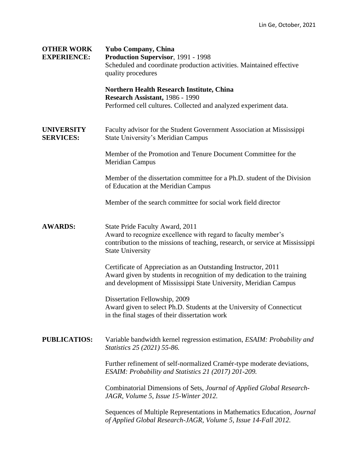| <b>OTHER WORK</b><br><b>EXPERIENCE:</b> | <b>Yubo Company, China</b><br>Production Supervisor, 1991 - 1998<br>Scheduled and coordinate production activities. Maintained effective<br>quality procedures                                                |
|-----------------------------------------|---------------------------------------------------------------------------------------------------------------------------------------------------------------------------------------------------------------|
|                                         | <b>Northern Health Research Institute, China</b><br>Research Assistant, 1986 - 1990<br>Performed cell cultures. Collected and analyzed experiment data.                                                       |
| <b>UNIVERSITY</b><br><b>SERVICES:</b>   | Faculty advisor for the Student Government Association at Mississippi<br>State University's Meridian Campus                                                                                                   |
|                                         | Member of the Promotion and Tenure Document Committee for the<br><b>Meridian Campus</b>                                                                                                                       |
|                                         | Member of the dissertation committee for a Ph.D. student of the Division<br>of Education at the Meridian Campus                                                                                               |
|                                         | Member of the search committee for social work field director                                                                                                                                                 |
| <b>AWARDS:</b>                          | State Pride Faculty Award, 2011<br>Award to recognize excellence with regard to faculty member's<br>contribution to the missions of teaching, research, or service at Mississippi<br><b>State University</b>  |
|                                         | Certificate of Appreciation as an Outstanding Instructor, 2011<br>Award given by students in recognition of my dedication to the training<br>and development of Mississippi State University, Meridian Campus |
|                                         | Dissertation Fellowship, 2009<br>Award given to select Ph.D. Students at the University of Connecticut<br>in the final stages of their dissertation work                                                      |
| <b>PUBLICATIOS:</b>                     | Variable bandwidth kernel regression estimation, ESAIM: Probability and<br>Statistics 25 (2021) 55-86.                                                                                                        |
|                                         | Further refinement of self-normalized Cramér-type moderate deviations,<br>ESAIM: Probability and Statistics 21 (2017) 201-209.                                                                                |
|                                         | Combinatorial Dimensions of Sets, Journal of Applied Global Research-<br>JAGR, Volume 5, Issue 15-Winter 2012.                                                                                                |
|                                         | Sequences of Multiple Representations in Mathematics Education, Journal<br>of Applied Global Research-JAGR, Volume 5, Issue 14-Fall 2012.                                                                     |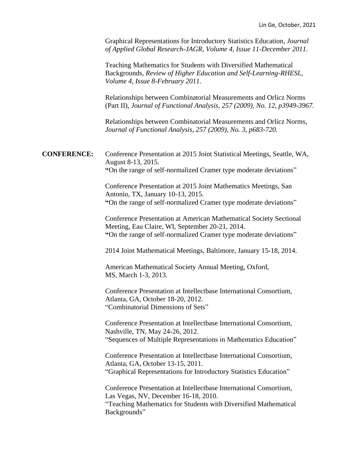Graphical Representations for Introductory Statistics Education, *Journal of Applied Global Research-JAGR, Volume 4, Issue 11-December 2011.*

Teaching Mathematics for Students with Diversified Mathematical Backgrounds, *Review of Higher Education and Self-Learning-RHESL, Volume 4, Issue 8-February 2011.* 

Relationships between Combinatorial Measurements and Orlicz Norms (Part II), *Journal of Functional Analysis, 257 (2009), No. 12, p3949-3967.*

Relationships between Combinatorial Measurements and Orlicz Norms, *Journal of Functional Analysis, 257 (2009), No. 3, p683-720.*

**CONFERENCE:** Conference Presentation at 2015 Joint Statistical Meetings, Seattle, WA, August 8-13, 2015. **"**On the range of self-normalized Cramer type moderate deviations"

> Conference Presentation at 2015 Joint Mathematics Meetings, San Antonio, TX, January 10-13, 2015. **"**On the range of self-normalized Cramer type moderate deviations"

Conference Presentation at American Mathematical Society Sectional Meeting, Eau Claire, WI, September 20-21, 2014. **"**On the range of self-normalized Cramer type moderate deviations"

2014 Joint Mathematical Meetings, Baltimore, January 15-18, 2014.

American Mathematical Society Annual Meeting, Oxford, MS, March 1-3, 2013.

Conference Presentation at Intellectbase International Consortium, Atlanta, GA, October 18-20, 2012. "Combinatorial Dimensions of Sets"

Conference Presentation at Intellectbase International Consortium, Nashville, TN, May 24-26, 2012. "Sequences of Multiple Representations in Mathematics Education"

Conference Presentation at Intellectbase International Consortium, Atlanta, GA, October 13-15, 2011. "Graphical Representations for Introductory Statistics Education"

Conference Presentation at Intellectbase International Consortium, Las Vegas, NV, December 16-18, 2010.

"Teaching Mathematics for Students with Diversified Mathematical Backgrounds"